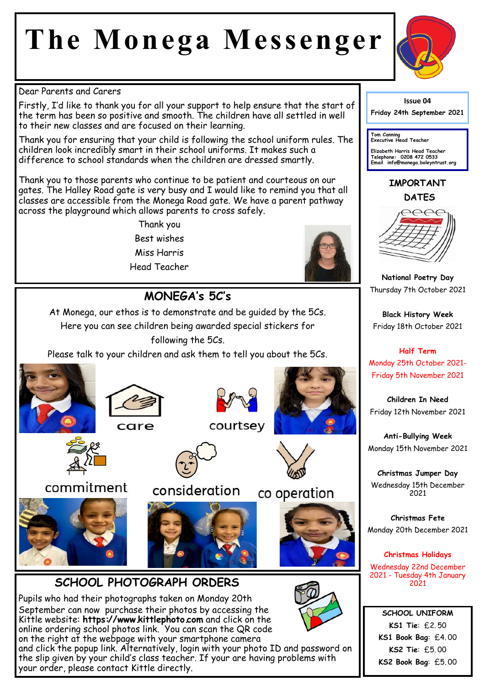# **The Monega Messenger**



#### Dear Parents and Carers

Firstly, I'd like to thank you for all your support to help ensure that the start of the term has been so positive and smooth. The children have all settled in well to their new classes and are focused on their learning.

Thank you for ensuring that your child is following the school uniform rules. The children look incredibly smart in their school uniforms. It makes such a difference to school standards when the children are dressed smartly.

Thank you to those parents who continue to be patient and courteous on our gates. The Halley Road gate is very busy and I would like to remind you that all classes are accessible from the Monega Road gate. We have a parent pathway across the playground which allows parents to cross safely.

> Thank you Best wishes Miss Harris Head Teacher



### **MONEGA's 5C's**

At Monega, our ethos is to demonstrate and be guided by the 5Cs. Here you can see children being awarded special stickers for following the 5Cs.

Please talk to your children and ask them to tell you about the 5Cs.











commitment







#### **SCHOOL PHOTOGRAPH ORDERS**

Pupils who had their photographs taken on Monday 20th September can now purchase their photos by accessing the Kittle website: **https://www.kittlephoto.com** and click on the online ordering school photos link. You can scan the QR code on the right at the webpage with your smartphone camera and click the popup link. Alternatively, login with your photo ID and password on the slip given by your child's class teacher. If your are having problems with

your order, please contact Kittle directly.





## co operation





#### **Issue 04**

**Friday 24th September 2021** 

**Tom Canning Executive Head Teacher**

**Elizabeth Harris Head Teacher Telephone: 0208 472 0533 Email info@monega.boleyntrust.org** 

#### **IMPORTANT DATES**



**National Poetry Day** Thursday 7th October 2021

**Black History Week** Friday 18th October 2021

**Half Term** Monday 25th October 2021- Friday 5th November 2021

**Children In Need** Friday 12th November 2021

**Anti-Bullying Week** Monday 15th November 2021

**Christmas Jumper Day** Wednesday 15th December 2021

**Christmas Fete** Monday 20th December 2021

**Christmas Holidays** Wednesday 22nd December 2021 - Tuesday 4th January 2021

**SCHOOL UNIFORM KS1 Tie**: £2. 50 **KS1 Book Bag**: £4. 00 **KS2 Tie**: £5. 00 **KS2 Book Bag**: £5. 00